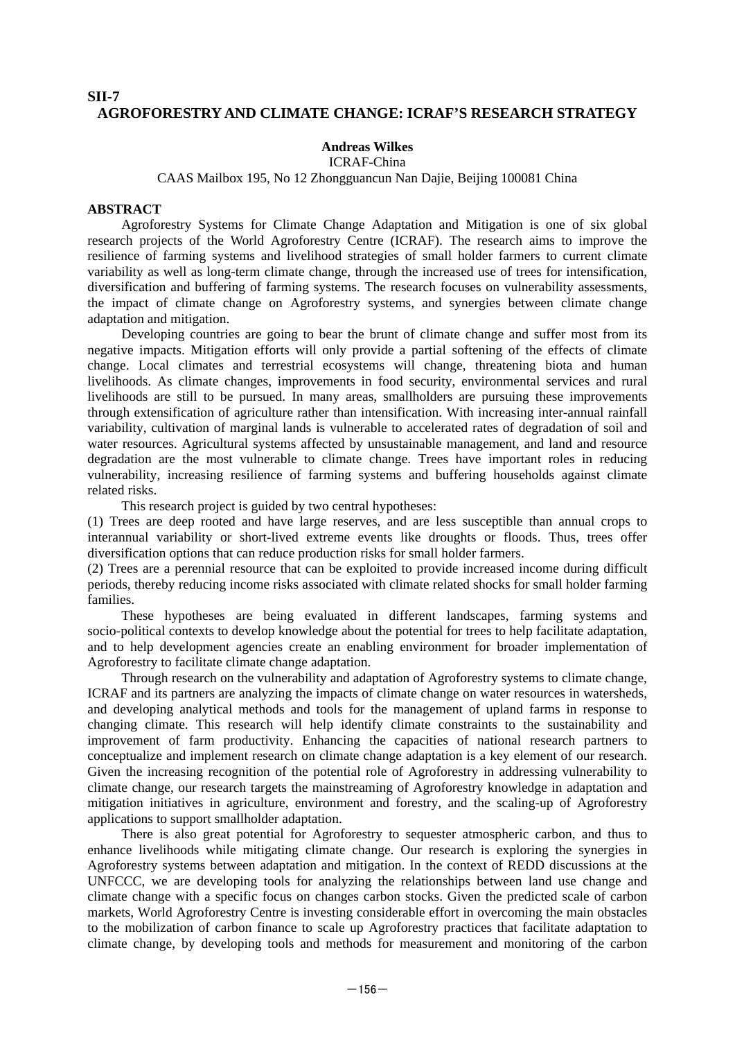## **SII-7 AGROFORESTRY AND CLIMATE CHANGE: ICRAF'S RESEARCH STRATEGY**

### **Andreas Wilkes**

ICRAF-China

#### CAAS Mailbox 195, No 12 Zhongguancun Nan Dajie, Beijing 100081 China

#### **ABSTRACT**

Agroforestry Systems for Climate Change Adaptation and Mitigation is one of six global research projects of the World Agroforestry Centre (ICRAF). The research aims to improve the resilience of farming systems and livelihood strategies of small holder farmers to current climate variability as well as long-term climate change, through the increased use of trees for intensification, diversification and buffering of farming systems. The research focuses on vulnerability assessments, the impact of climate change on Agroforestry systems, and synergies between climate change adaptation and mitigation.

Developing countries are going to bear the brunt of climate change and suffer most from its negative impacts. Mitigation efforts will only provide a partial softening of the effects of climate change. Local climates and terrestrial ecosystems will change, threatening biota and human livelihoods. As climate changes, improvements in food security, environmental services and rural livelihoods are still to be pursued. In many areas, smallholders are pursuing these improvements through extensification of agriculture rather than intensification. With increasing inter-annual rainfall variability, cultivation of marginal lands is vulnerable to accelerated rates of degradation of soil and water resources. Agricultural systems affected by unsustainable management, and land and resource degradation are the most vulnerable to climate change. Trees have important roles in reducing vulnerability, increasing resilience of farming systems and buffering households against climate related risks.

This research project is guided by two central hypotheses:

(1) Trees are deep rooted and have large reserves, and are less susceptible than annual crops to interannual variability or short-lived extreme events like droughts or floods. Thus, trees offer diversification options that can reduce production risks for small holder farmers.

(2) Trees are a perennial resource that can be exploited to provide increased income during difficult periods, thereby reducing income risks associated with climate related shocks for small holder farming families.

These hypotheses are being evaluated in different landscapes, farming systems and socio-political contexts to develop knowledge about the potential for trees to help facilitate adaptation, and to help development agencies create an enabling environment for broader implementation of Agroforestry to facilitate climate change adaptation.

Through research on the vulnerability and adaptation of Agroforestry systems to climate change, ICRAF and its partners are analyzing the impacts of climate change on water resources in watersheds, and developing analytical methods and tools for the management of upland farms in response to changing climate. This research will help identify climate constraints to the sustainability and improvement of farm productivity. Enhancing the capacities of national research partners to conceptualize and implement research on climate change adaptation is a key element of our research. Given the increasing recognition of the potential role of Agroforestry in addressing vulnerability to climate change, our research targets the mainstreaming of Agroforestry knowledge in adaptation and mitigation initiatives in agriculture, environment and forestry, and the scaling-up of Agroforestry applications to support smallholder adaptation.

There is also great potential for Agroforestry to sequester atmospheric carbon, and thus to enhance livelihoods while mitigating climate change. Our research is exploring the synergies in Agroforestry systems between adaptation and mitigation. In the context of REDD discussions at the UNFCCC, we are developing tools for analyzing the relationships between land use change and climate change with a specific focus on changes carbon stocks. Given the predicted scale of carbon markets, World Agroforestry Centre is investing considerable effort in overcoming the main obstacles to the mobilization of carbon finance to scale up Agroforestry practices that facilitate adaptation to climate change, by developing tools and methods for measurement and monitoring of the carbon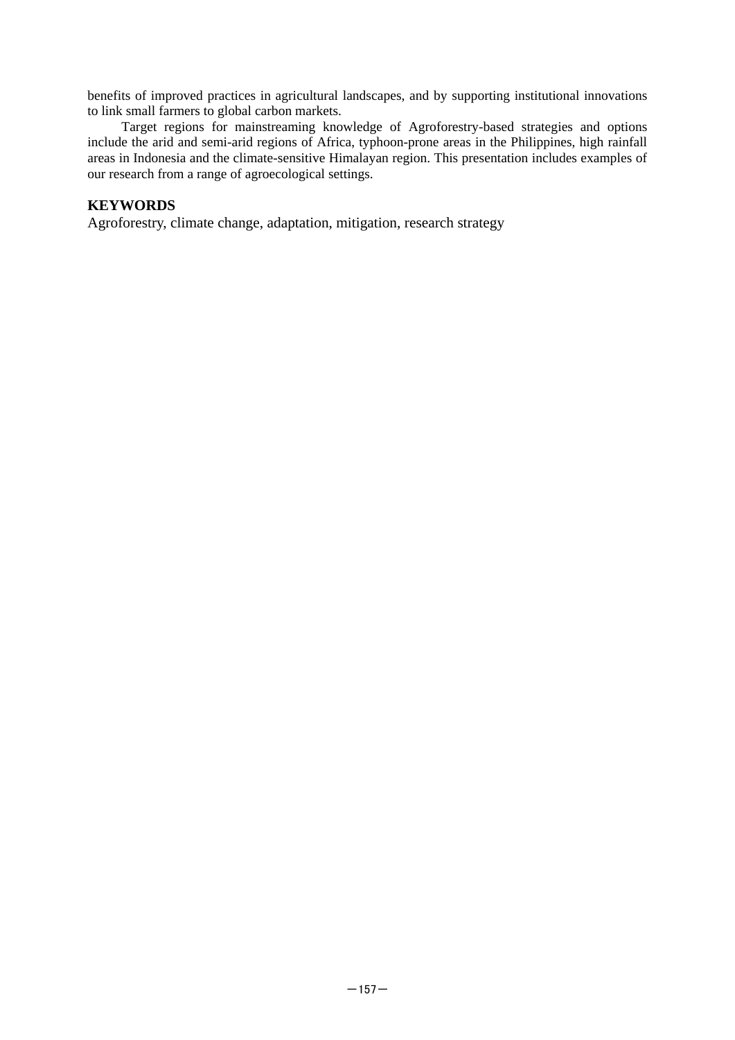benefits of improved practices in agricultural landscapes, and by supporting institutional innovations to link small farmers to global carbon markets.

Target regions for mainstreaming knowledge of Agroforestry-based strategies and options include the arid and semi-arid regions of Africa, typhoon-prone areas in the Philippines, high rainfall areas in Indonesia and the climate-sensitive Himalayan region. This presentation includes examples of our research from a range of agroecological settings.

# **KEYWORDS**

Agroforestry, climate change, adaptation, mitigation, research strategy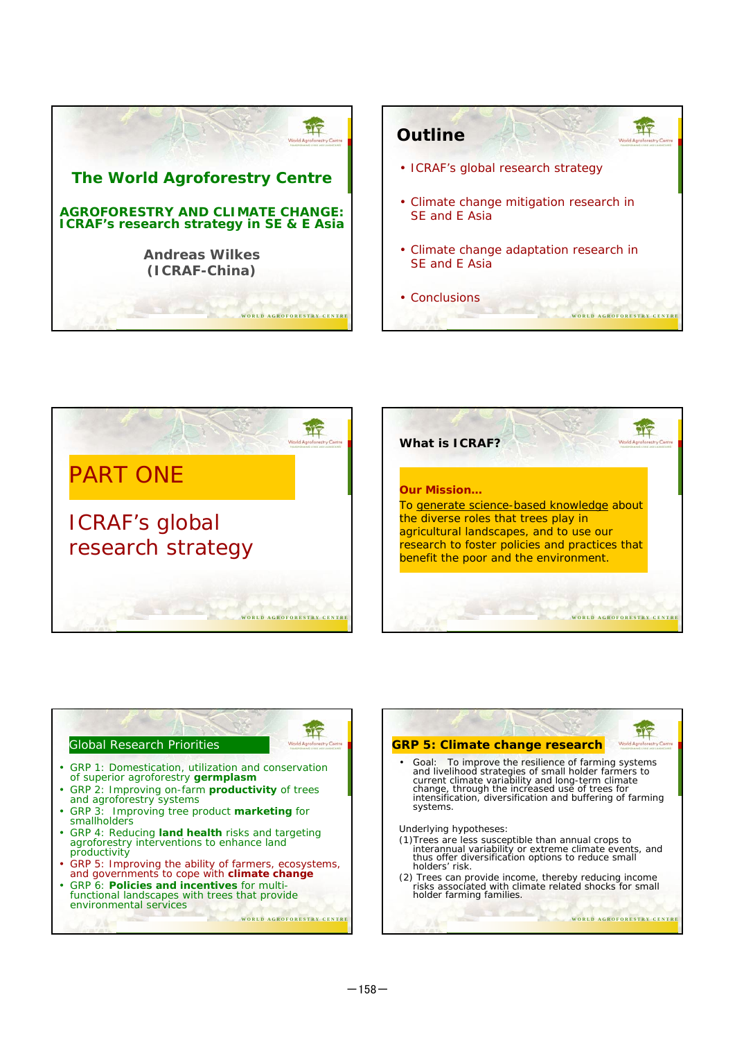









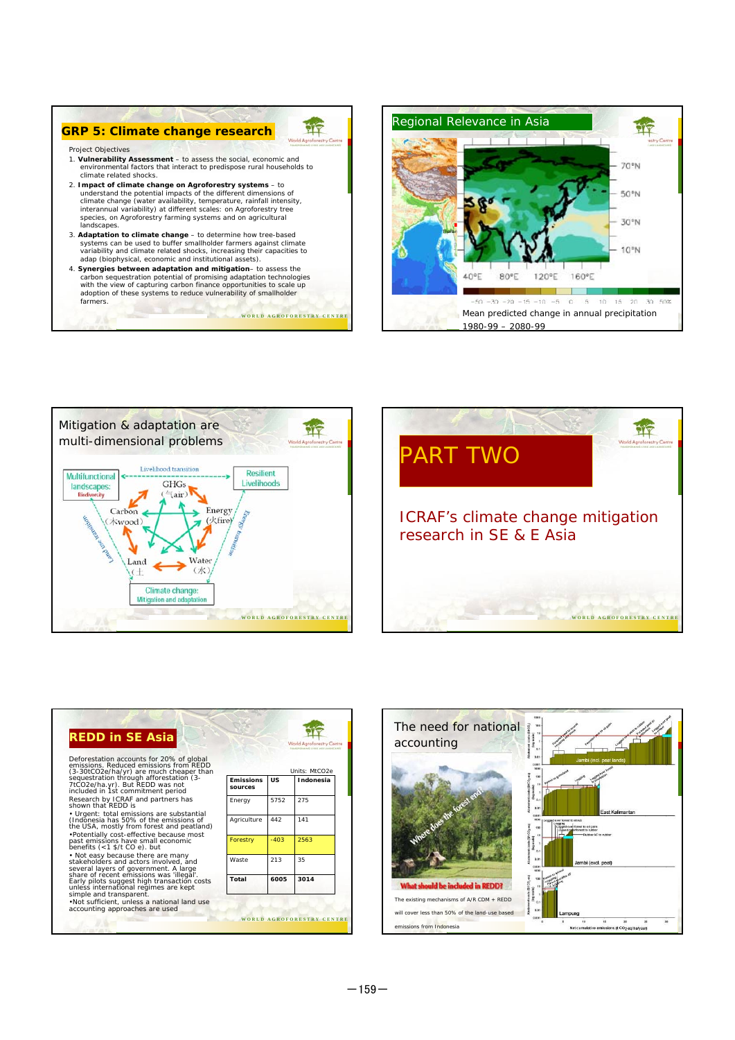

**W O R L D A G R O F O R E S T R Y C E N T R E**









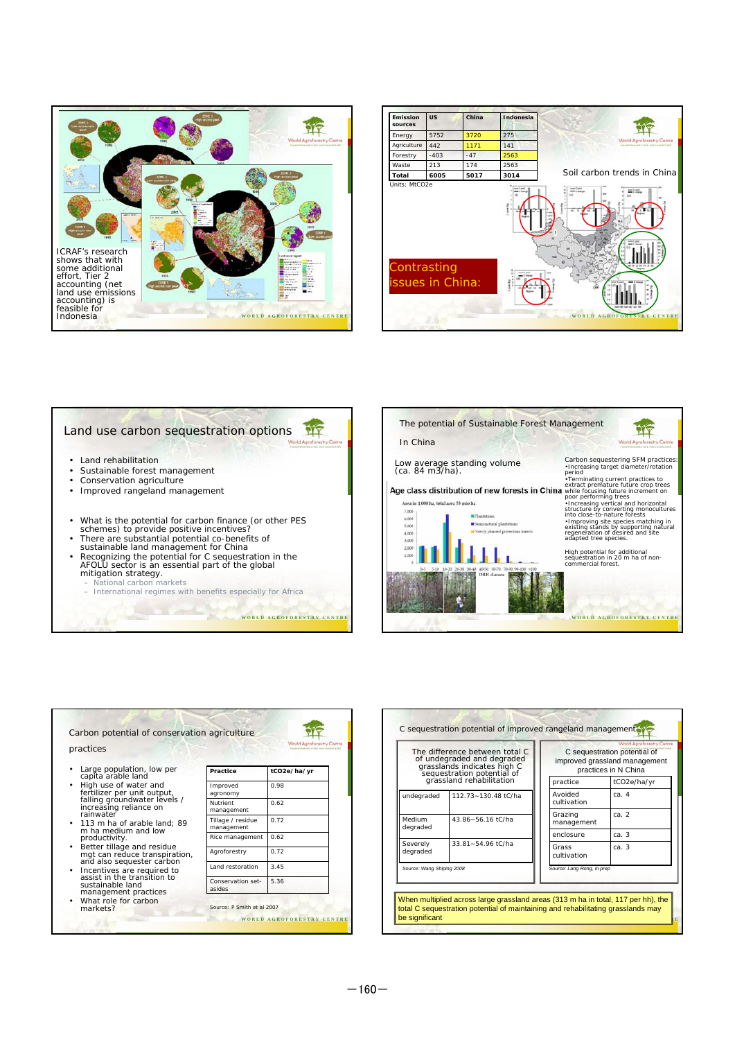







| practices                                                                                                                                                                                                                                                                                                                                                                                                                                                                      |                                 |                                  |
|--------------------------------------------------------------------------------------------------------------------------------------------------------------------------------------------------------------------------------------------------------------------------------------------------------------------------------------------------------------------------------------------------------------------------------------------------------------------------------|---------------------------------|----------------------------------|
|                                                                                                                                                                                                                                                                                                                                                                                                                                                                                |                                 | <b>MANDYDRAINS</b> CHRS AND LAND |
| Large population, low per<br>capíta arable land<br>High use of water and<br>fertilizer per unit output,<br>falling groundwater levels /<br>increasing reliance on<br>rainwater<br>• 113 m ha of arable land; 89<br>m ha medium and low<br>productivity.<br>Better tillage and residue<br>$\bullet$<br>mgt can reduce transpiration,<br>and also sequester carbon<br>Incentives are required to<br>٠<br>assist in the transition to<br>sustainable land<br>management practices | Practice                        | tCO2e/ha/yr                      |
|                                                                                                                                                                                                                                                                                                                                                                                                                                                                                | Improved<br>agronomy            | 0.98                             |
|                                                                                                                                                                                                                                                                                                                                                                                                                                                                                | Nutrient<br>management          | 0.62                             |
|                                                                                                                                                                                                                                                                                                                                                                                                                                                                                | Tillage / residue<br>management | 0.72                             |
|                                                                                                                                                                                                                                                                                                                                                                                                                                                                                | Rice management                 | 0.62                             |
|                                                                                                                                                                                                                                                                                                                                                                                                                                                                                | Agroforestry                    | 0.72                             |
|                                                                                                                                                                                                                                                                                                                                                                                                                                                                                | Land restoration                | 3.45                             |
|                                                                                                                                                                                                                                                                                                                                                                                                                                                                                | Conservation set-               | 5.36                             |

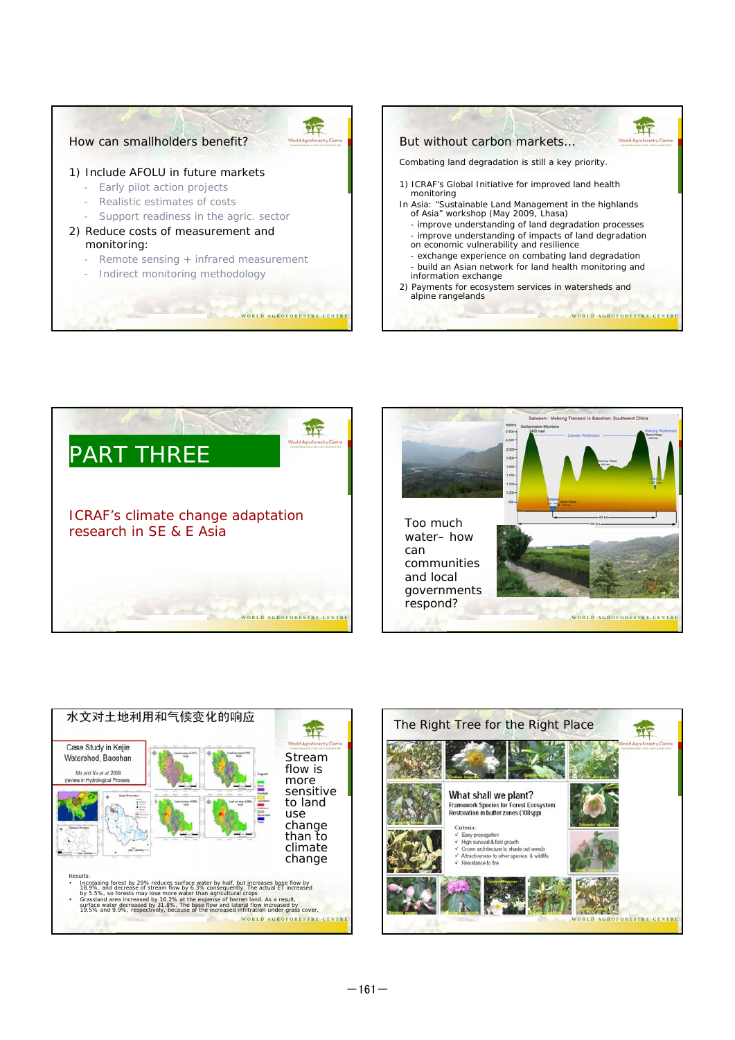





PIT



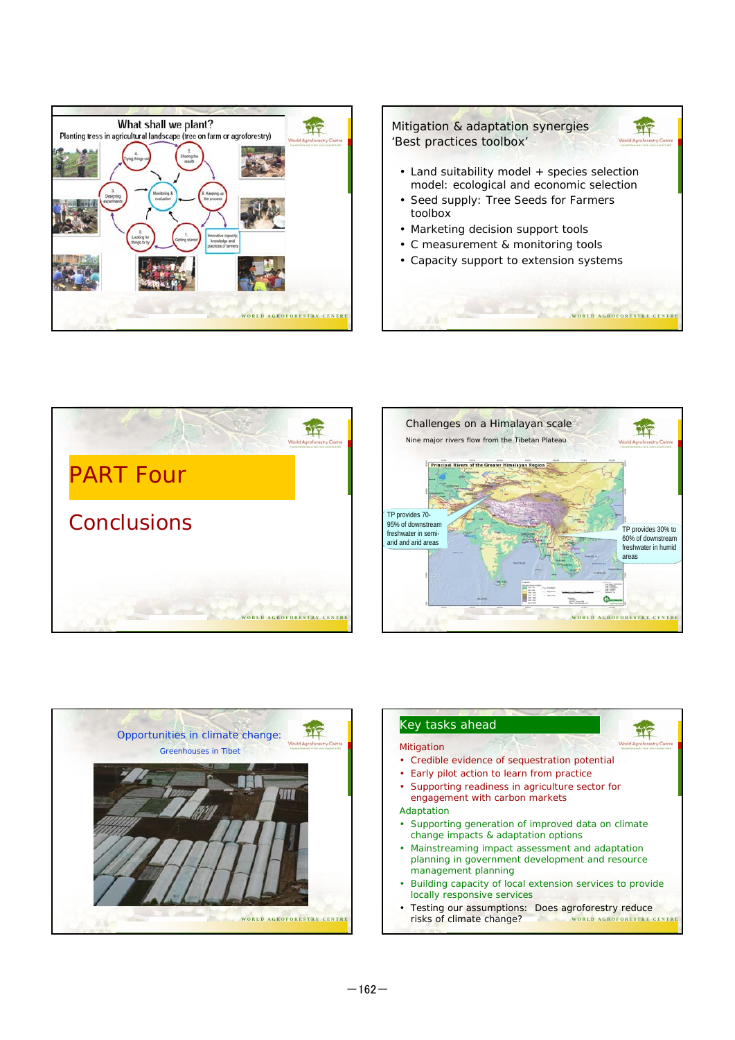









**W O R L D A G R O F O R E S T R Y C E N T R E** Testing our assumptions: Does agroforestry reduce risks of climate change?